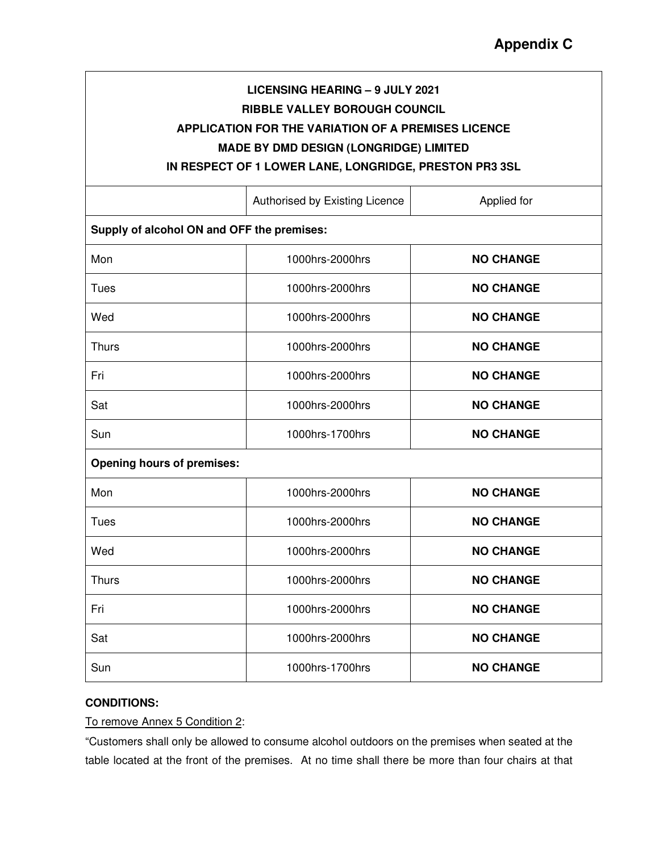## **LICENSING HEARING – 9 JULY 2021 RIBBLE VALLEY BOROUGH COUNCIL APPLICATION FOR THE VARIATION OF A PREMISES LICENCE MADE BY DMD DESIGN (LONGRIDGE) LIMITED**

**IN RESPECT OF 1 LOWER LANE, LONGRIDGE, PRESTON PR3 3SL** 

|                                            | Authorised by Existing Licence | Applied for      |
|--------------------------------------------|--------------------------------|------------------|
| Supply of alcohol ON and OFF the premises: |                                |                  |
| Mon                                        | 1000hrs-2000hrs                | <b>NO CHANGE</b> |
| Tues                                       | 1000hrs-2000hrs                | <b>NO CHANGE</b> |
| Wed                                        | 1000hrs-2000hrs                | <b>NO CHANGE</b> |
| Thurs                                      | 1000hrs-2000hrs                | <b>NO CHANGE</b> |
| Fri                                        | 1000hrs-2000hrs                | <b>NO CHANGE</b> |
| Sat                                        | 1000hrs-2000hrs                | <b>NO CHANGE</b> |
| Sun                                        | 1000hrs-1700hrs                | <b>NO CHANGE</b> |
| <b>Opening hours of premises:</b>          |                                |                  |
| Mon                                        | 1000hrs-2000hrs                | <b>NO CHANGE</b> |
| <b>Tues</b>                                | 1000hrs-2000hrs                | <b>NO CHANGE</b> |
| Wed                                        | 1000hrs-2000hrs                | <b>NO CHANGE</b> |
| Thurs                                      | 1000hrs-2000hrs                | <b>NO CHANGE</b> |
| Fri                                        | 1000hrs-2000hrs                | <b>NO CHANGE</b> |
| Sat                                        | 1000hrs-2000hrs                | <b>NO CHANGE</b> |
| Sun                                        | 1000hrs-1700hrs                | <b>NO CHANGE</b> |

## **CONDITIONS:**

To remove Annex 5 Condition 2:

"Customers shall only be allowed to consume alcohol outdoors on the premises when seated at the table located at the front of the premises. At no time shall there be more than four chairs at that